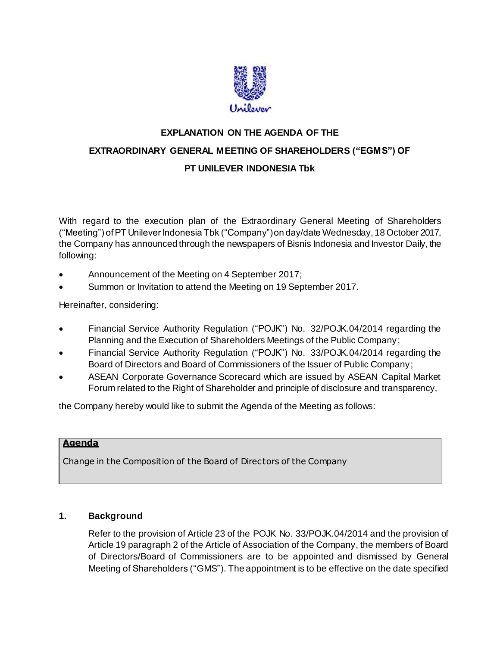

# **EXPLANATION ON THE AGENDA OF THE EXTRAORDINARY GENERAL MEETING OF SHAREHOLDERS ("EGMS") OF PT UNILEVER INDONESIA Tbk**

With regard to the execution plan of the Extraordinary General Meeting of Shareholders ("Meeting") of PT Unilever Indonesia Tbk ("Company") on day/date Wednesday, 18 October 2017, the Company has announced through the newspapers of Bisnis Indonesia and Investor Daily, the following:

- Announcement of the Meeting on 4 September 2017;
- Summon or Invitation to attend the Meeting on 19 September 2017.

Hereinafter, considering:

- Financial Service Authority Regulation ("POJK") No. 32/POJK.04/2014 regarding the Planning and the Execution of Shareholders Meetings of the Public Company;
- Financial Service Authority Regulation ("POJK") No. 33/POJK.04/2014 regarding the Board of Directors and Board of Commissioners of the Issuer of Public Company;
- ASEAN Corporate Governance Scorecard which are issued by ASEAN Capital Market Forum related to the Right of Shareholder and principle of disclosure and transparency,

the Company hereby would like to submit the Agenda of the Meeting as follows:

#### **Agenda**

Change in the Composition of the Board of Directors of the Company

#### **1. Background**

Refer to the provision of Article 23 of the POJK No. 33/POJK.04/2014 and the provision of Article 19 paragraph 2 of the Article of Association of the Company, the members of Board of Directors/Board of Commissioners are to be appointed and dismissed by General Meeting of Shareholders ("GMS"). The appointment is to be effective on the date specified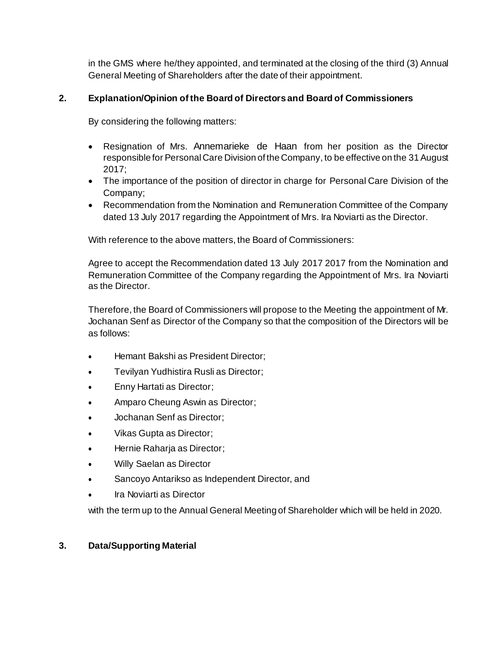in the GMS where he/they appointed, and terminated at the closing of the third (3) Annual General Meeting of Shareholders after the date of their appointment.

### **2. Explanation/Opinion of the Board of Directors and Board of Commissioners**

By considering the following matters:

- Resignation of Mrs. Annemarieke de Haan from her position as the Director responsible for Personal Care Division of the Company, to be effective on the 31 August 2017;
- The importance of the position of director in charge for Personal Care Division of the Company;
- Recommendation from the Nomination and Remuneration Committee of the Company dated 13 July 2017 regarding the Appointment of Mrs. Ira Noviarti as the Director.

With reference to the above matters, the Board of Commissioners:

Agree to accept the Recommendation dated 13 July 2017 2017 from the Nomination and Remuneration Committee of the Company regarding the Appointment of Mrs. Ira Noviarti as the Director.

Therefore, the Board of Commissioners will propose to the Meeting the appointment of Mr. Jochanan Senf as Director of the Company so that the composition of the Directors will be as follows:

- Hemant Bakshi as President Director;
- Tevilyan Yudhistira Rusli as Director;
- **Enny Hartati as Director;**
- Amparo Cheung Aswin as Director;
- Jochanan Senf as Director;
- Vikas Gupta as Director;
- Hernie Raharja as Director;
- Willy Saelan as Director
- Sancoyo Antarikso as Independent Director, and
- Ira Noviarti as Director

with the term up to the Annual General Meeting of Shareholder which will be held in 2020.

#### **3. Data/Supporting Material**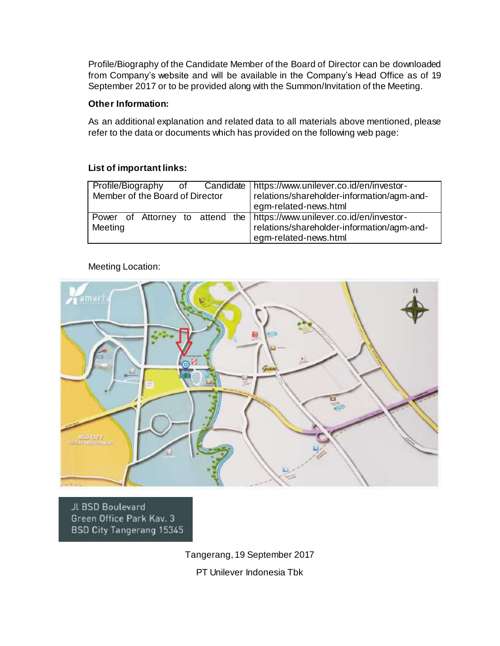Profile/Biography of the Candidate Member of the Board of Director can be downloaded from Company's website and will be available in the Company's Head Office as of 19 September 2017 or to be provided along with the Summon/Invitation of the Meeting.

#### **Other Information:**

As an additional explanation and related data to all materials above mentioned, please refer to the data or documents which has provided on the following web page:

#### **List of important links:**

| Profile/Biography of Candidate   https://www.unilever.co.id/en/investor- |                                              |
|--------------------------------------------------------------------------|----------------------------------------------|
| Member of the Board of Director                                          | relations/shareholder-information/agm-and-   |
|                                                                          | egm-related-news.html                        |
| Power of Attorney to attend the https://www.unilever.co.id/en/investor-  |                                              |
| Meeting                                                                  | I relations/shareholder-information/agm-and- |
|                                                                          | egm-related-news.html                        |

## Meeting Location:



JL BSD Boulevard Green Office Park Kav. 3 BSD City Tangerang 15345

> Tangerang, 19 September 2017 PT Unilever Indonesia Tbk